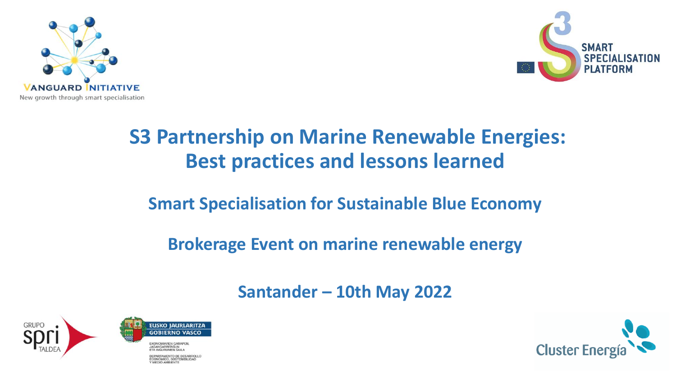



# **S3 Partnership on Marine Renewable Energies: Best practices and lessons learned**

# **Smart Specialisation for Sustainable Blue Economy**

# **Brokerage Event on marine renewable energy**

# **Santander – 10th May 2022**





ARTAMENTO DE DESARROLLO **MEDIO AMRIENT** 

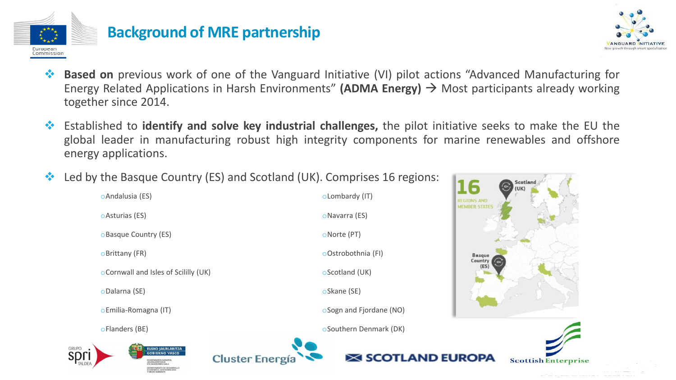



- ❖ **Based on** previous work of one of the Vanguard Initiative (VI) pilot actions "Advanced Manufacturing for Energy Related Applications in Harsh Environments" **(ADMA Energy)** → Most participants already working together since 2014.
- ❖ Established to **identify and solve key industrial challenges,** the pilot initiative seeks to make the EU the global leader in manufacturing robust high integrity components for marine renewables and offshore energy applications.
- ❖ Led by the Basque Country (ES) and Scotland (UK). Comprises 16 regions:

**Cluster Energía** 

oAndalusia (ES) oAsturias (ES) oBasque Country (ES) oBrittany (FR) oCornwall and Isles of Scililly (UK) oDalarna (SE) oEmilia-Romagna (IT) oFlanders (BE)



oLombardy (IT) oNavarra (ES)

oNorte (PT)

oOstrobothnia (FI)

oScotland (UK)

oSkane (SE)

oSogn and Fjordane (NO)

oSouthern Denmark (DK)

**SCOTLAND EUROPA** 



16

Scotlan

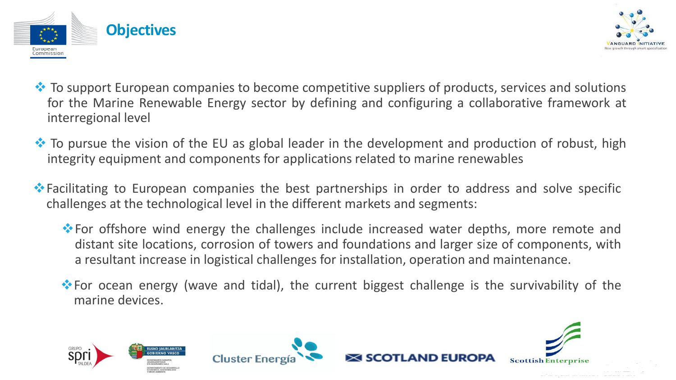



- ❖ To support European companies to become competitive suppliers of products, services and solutions for the Marine Renewable Energy sector by defining and configuring a collaborative framework at interregional level
- ❖ To pursue the vision of the EU as global leader in the development and production of robust, high integrity equipment and components for applications related to marine renewables
- ❖Facilitating to European companies the best partnerships in order to address and solve specific challenges at the technological level in the different markets and segments:
	- ❖For offshore wind energy the challenges include increased water depths, more remote and distant site locations, corrosion of towers and foundations and larger size of components, with a resultant increase in logistical challenges for installation, operation and maintenance.
	- ❖For ocean energy (wave and tidal), the current biggest challenge is the survivability of the marine devices.





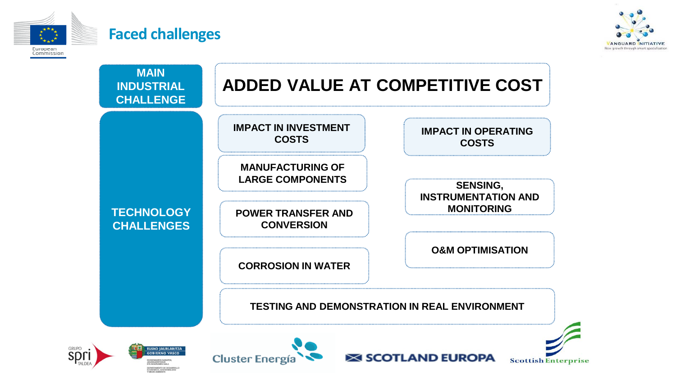

#### **Faced challenges**



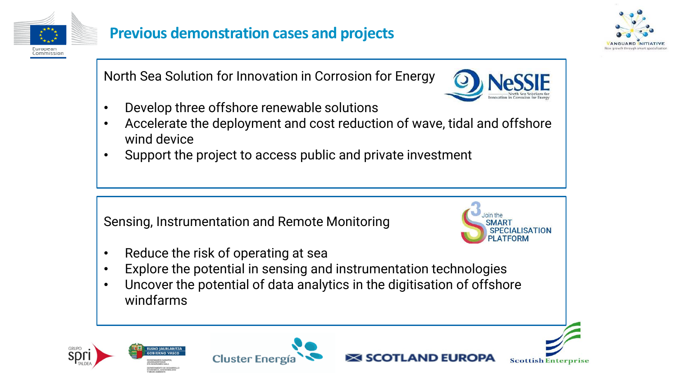

## **Previous demonstration cases and projects**



North Sea Solution for Innovation in Corrosion for Energy



- Develop three offshore renewable solutions
- Accelerate the deployment and cost reduction of wave, tidal and offshore wind device
- Support the project to access public and private investment

Sensing, Instrumentation and Remote Monitoring



AND EURO

- Reduce the risk of operating at sea
- Explore the potential in sensing and instrumentation technologies
- Uncover the potential of data analytics in the digitisation of offshore windfarms







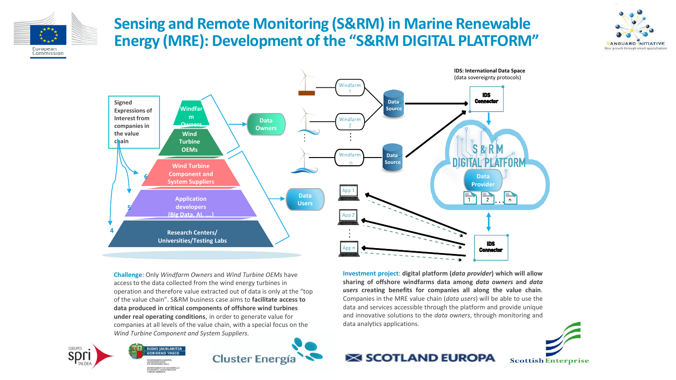

GRUPC

## **Sensing and Remote Monitoring (S&RM) in Marine Renewable Energy (MRE): Development of the "S&RM DIGITAL PLATFORM"**





**Challenge**: Only *Windfarm Owners* and *Wind Turbine OEMs* have access to the data collected from the wind energy turbines in operation and therefore value extracted out of data is only at the "top of the value chain". S&RM business case aims to **facilitate access to data produced in critical components of offshore wind turbines under real operating conditions**, in order to generate value for companies at all levels of the value chain, with a special focus on the *Wind Turbine Component and System Suppliers.*

EUSKO JAURLARITZA

**GOBIERNO VASCO** 



**Investment project**: **digital platform (***data provider***) which will allow sharing of offshore windfarms data among** *data owners* **and** *data users* **creating benefits for companies all along the value chain**. Companies in the MRE value chain (*data users*) will be able to use the data and services accessible through the platform and provide unique and innovative solutions to the *data owners*, through monitoring and data analytics applications.



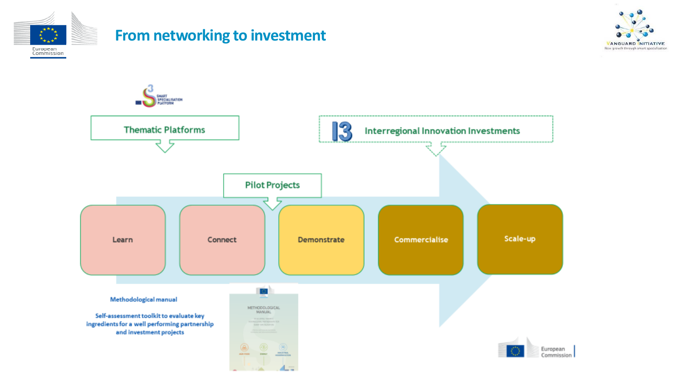

### **From networking to investment**



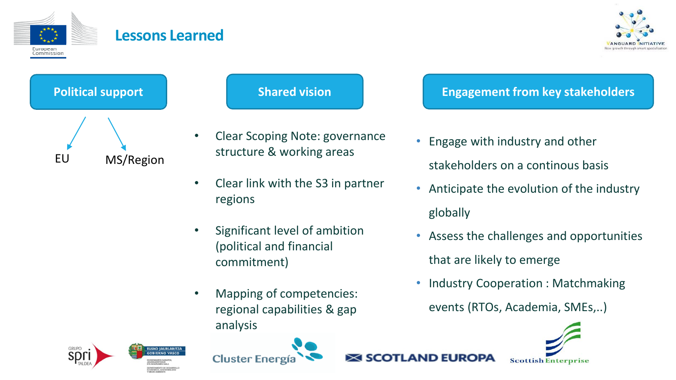

#### **Lessons Learned**





- Clear Scoping Note: governance structure & working areas
- Clear link with the S3 in partner regions
- Significant level of ambition (political and financial commitment)
- Mapping of competencies: regional capabilities & gap analysis

#### **Political support Shared vision Engagement from key stakeholders**

- Engage with industry and other stakeholders on a continous basis
- Anticipate the evolution of the industry globally
- Assess the challenges and opportunities that are likely to emerge
- Industry Cooperation: Matchmaking events (RTOs, Academia, SMEs,..)





EUSKO JAURLARITZA

**GOBIERNO VASCO** 



AND FUROPA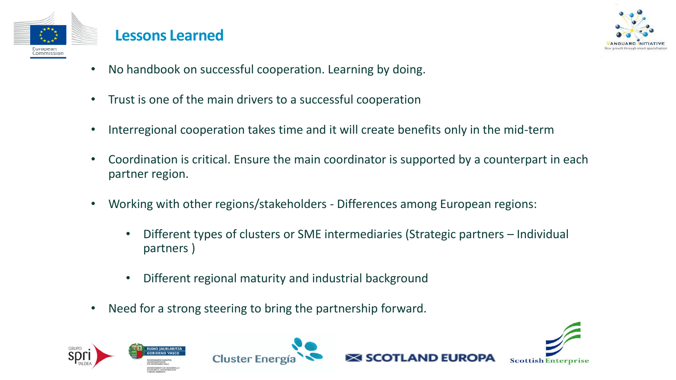

#### **Lessons Learned**



- No handbook on successful cooperation. Learning by doing.
- Trust is one of the main drivers to a successful cooperation
- Interregional cooperation takes time and it will create benefits only in the mid-term
- Coordination is critical. Ensure the main coordinator is supported by a counterpart in each partner region.
- Working with other regions/stakeholders Differences among European regions:
	- Different types of clusters or SME intermediaries (Strategic partners Individual partners )
	- Different regional maturity and industrial background
- Need for a strong steering to bring the partnership forward.